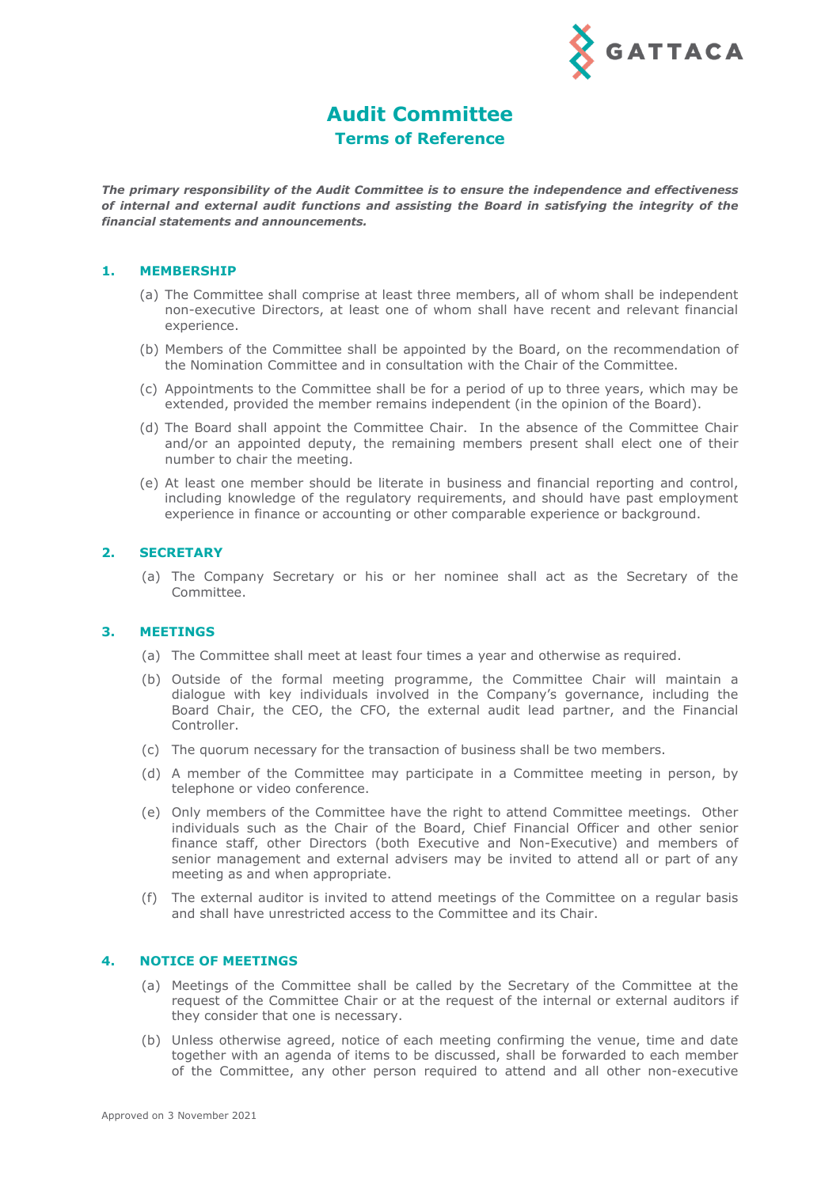

# **Audit Committee Terms of Reference**

*The primary responsibility of the Audit Committee is to ensure the independence and effectiveness of internal and external audit functions and assisting the Board in satisfying the integrity of the financial statements and announcements.* 

# **1. MEMBERSHIP**

- (a) The Committee shall comprise at least three members, all of whom shall be independent non-executive Directors, at least one of whom shall have recent and relevant financial experience.
- (b) Members of the Committee shall be appointed by the Board, on the recommendation of the Nomination Committee and in consultation with the Chair of the Committee.
- (c) Appointments to the Committee shall be for a period of up to three years, which may be extended, provided the member remains independent (in the opinion of the Board).
- (d) The Board shall appoint the Committee Chair. In the absence of the Committee Chair and/or an appointed deputy, the remaining members present shall elect one of their number to chair the meeting.
- (e) At least one member should be literate in business and financial reporting and control, including knowledge of the regulatory requirements, and should have past employment experience in finance or accounting or other comparable experience or background.

# **2. SECRETARY**

(a) The Company Secretary or his or her nominee shall act as the Secretary of the Committee.

# **3. MEETINGS**

- (a) The Committee shall meet at least four times a year and otherwise as required.
- (b) Outside of the formal meeting programme, the Committee Chair will maintain a dialogue with key individuals involved in the Company's governance, including the Board Chair, the CEO, the CFO, the external audit lead partner, and the Financial Controller.
- (c) The quorum necessary for the transaction of business shall be two members.
- (d) A member of the Committee may participate in a Committee meeting in person, by telephone or video conference.
- (e) Only members of the Committee have the right to attend Committee meetings. Other individuals such as the Chair of the Board, Chief Financial Officer and other senior finance staff, other Directors (both Executive and Non-Executive) and members of senior management and external advisers may be invited to attend all or part of any meeting as and when appropriate.
- (f) The external auditor is invited to attend meetings of the Committee on a regular basis and shall have unrestricted access to the Committee and its Chair.

# **4. NOTICE OF MEETINGS**

- (a) Meetings of the Committee shall be called by the Secretary of the Committee at the request of the Committee Chair or at the request of the internal or external auditors if they consider that one is necessary.
- (b) Unless otherwise agreed, notice of each meeting confirming the venue, time and date together with an agenda of items to be discussed, shall be forwarded to each member of the Committee, any other person required to attend and all other non-executive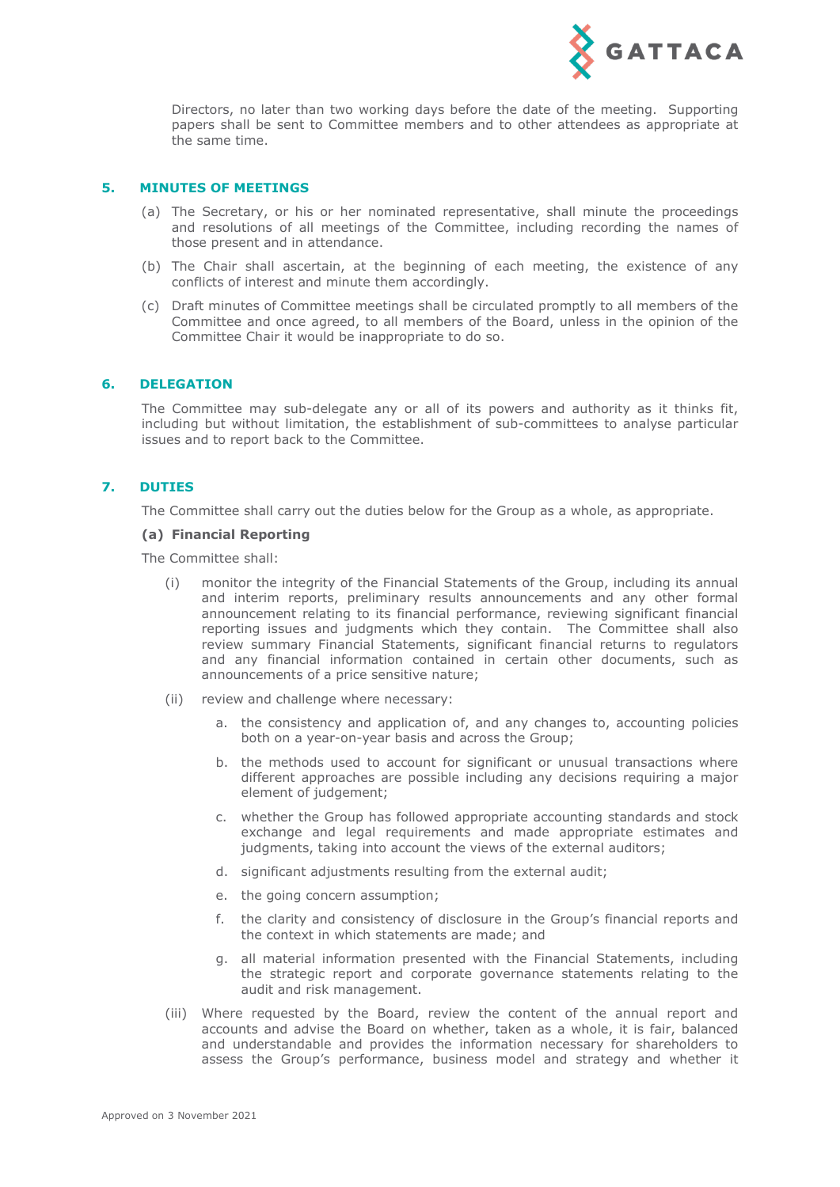

Directors, no later than two working days before the date of the meeting. Supporting papers shall be sent to Committee members and to other attendees as appropriate at the same time.

# **5. MINUTES OF MEETINGS**

- (a) The Secretary, or his or her nominated representative, shall minute the proceedings and resolutions of all meetings of the Committee, including recording the names of those present and in attendance.
- (b) The Chair shall ascertain, at the beginning of each meeting, the existence of any conflicts of interest and minute them accordingly.
- (c) Draft minutes of Committee meetings shall be circulated promptly to all members of the Committee and once agreed, to all members of the Board, unless in the opinion of the Committee Chair it would be inappropriate to do so.

# **6. DELEGATION**

The Committee may sub-delegate any or all of its powers and authority as it thinks fit, including but without limitation, the establishment of sub-committees to analyse particular issues and to report back to the Committee.

# **7. DUTIES**

The Committee shall carry out the duties below for the Group as a whole, as appropriate.

#### **(a) Financial Reporting**

The Committee shall:

- (i) monitor the integrity of the Financial Statements of the Group, including its annual and interim reports, preliminary results announcements and any other formal announcement relating to its financial performance, reviewing significant financial reporting issues and judgments which they contain. The Committee shall also review summary Financial Statements, significant financial returns to regulators and any financial information contained in certain other documents, such as announcements of a price sensitive nature;
- (ii) review and challenge where necessary:
	- a. the consistency and application of, and any changes to, accounting policies both on a year-on-year basis and across the Group;
	- b. the methods used to account for significant or unusual transactions where different approaches are possible including any decisions requiring a major element of judgement;
	- c. whether the Group has followed appropriate accounting standards and stock exchange and legal requirements and made appropriate estimates and judgments, taking into account the views of the external auditors;
	- d. significant adjustments resulting from the external audit;
	- e. the going concern assumption;
	- f. the clarity and consistency of disclosure in the Group's financial reports and the context in which statements are made; and
	- g. all material information presented with the Financial Statements, including the strategic report and corporate governance statements relating to the audit and risk management.
- (iii) Where requested by the Board, review the content of the annual report and accounts and advise the Board on whether, taken as a whole, it is fair, balanced and understandable and provides the information necessary for shareholders to assess the Group's performance, business model and strategy and whether it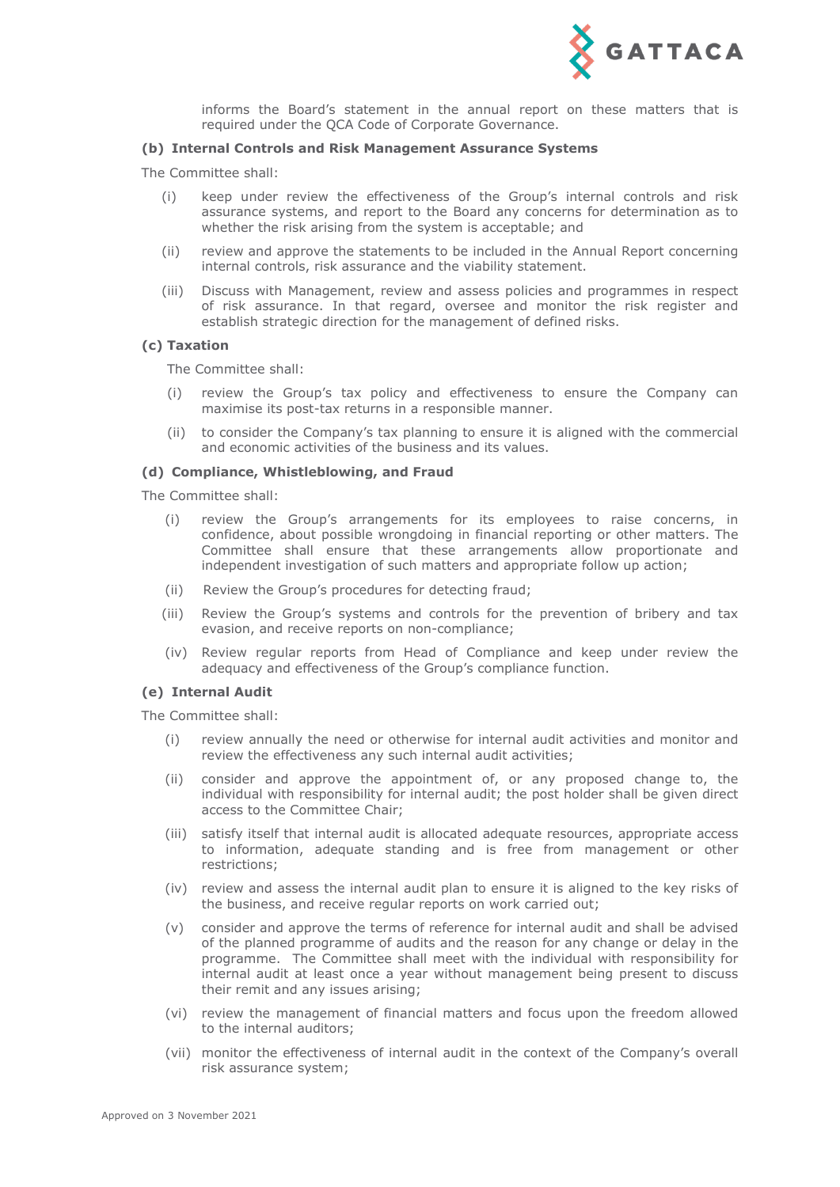

informs the Board's statement in the annual report on these matters that is required under the QCA Code of Corporate Governance.

#### **(b) Internal Controls and Risk Management Assurance Systems**

The Committee shall:

- (i) keep under review the effectiveness of the Group's internal controls and risk assurance systems, and report to the Board any concerns for determination as to whether the risk arising from the system is acceptable; and
- (ii) review and approve the statements to be included in the Annual Report concerning internal controls, risk assurance and the viability statement.
- (iii) Discuss with Management, review and assess policies and programmes in respect of risk assurance. In that regard, oversee and monitor the risk register and establish strategic direction for the management of defined risks.

#### **(c) Taxation**

The Committee shall:

- (i) review the Group's tax policy and effectiveness to ensure the Company can maximise its post-tax returns in a responsible manner.
- (ii) to consider the Company's tax planning to ensure it is aligned with the commercial and economic activities of the business and its values.

#### **(d) Compliance, Whistleblowing, and Fraud**

The Committee shall:

- (i) review the Group's arrangements for its employees to raise concerns, in confidence, about possible wrongdoing in financial reporting or other matters. The Committee shall ensure that these arrangements allow proportionate and independent investigation of such matters and appropriate follow up action;
- (ii) Review the Group's procedures for detecting fraud;
- (iii) Review the Group's systems and controls for the prevention of bribery and tax evasion, and receive reports on non-compliance;
- (iv) Review regular reports from Head of Compliance and keep under review the adequacy and effectiveness of the Group's compliance function.

#### **(e) Internal Audit**

The Committee shall:

- (i) review annually the need or otherwise for internal audit activities and monitor and review the effectiveness any such internal audit activities;
- (ii) consider and approve the appointment of, or any proposed change to, the individual with responsibility for internal audit; the post holder shall be given direct access to the Committee Chair;
- (iii) satisfy itself that internal audit is allocated adequate resources, appropriate access to information, adequate standing and is free from management or other restrictions;
- (iv) review and assess the internal audit plan to ensure it is aligned to the key risks of the business, and receive regular reports on work carried out;
- (v) consider and approve the terms of reference for internal audit and shall be advised of the planned programme of audits and the reason for any change or delay in the programme. The Committee shall meet with the individual with responsibility for internal audit at least once a year without management being present to discuss their remit and any issues arising;
- (vi) review the management of financial matters and focus upon the freedom allowed to the internal auditors;
- (vii) monitor the effectiveness of internal audit in the context of the Company's overall risk assurance system;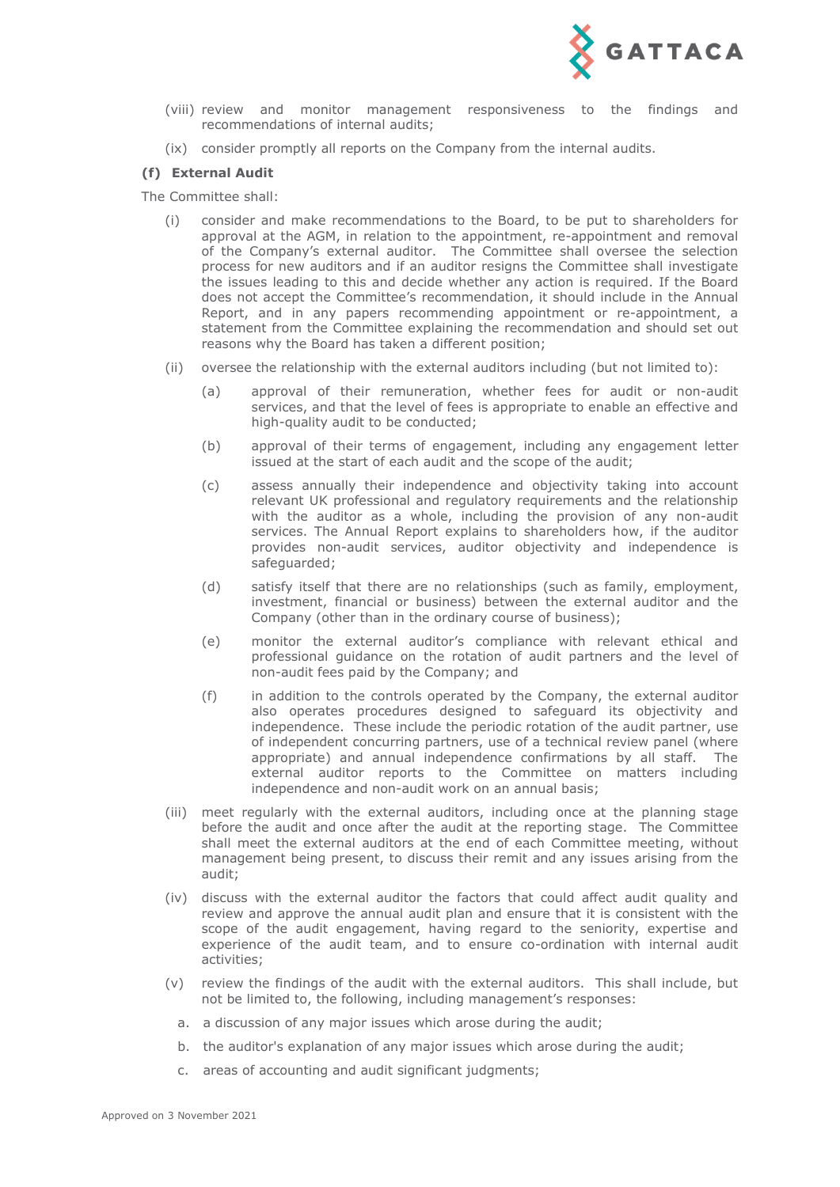

- (viii) review and monitor management responsiveness to the findings and recommendations of internal audits;
- (ix) consider promptly all reports on the Company from the internal audits.

# **(f) External Audit**

The Committee shall:

- (i) consider and make recommendations to the Board, to be put to shareholders for approval at the AGM, in relation to the appointment, re-appointment and removal of the Company's external auditor. The Committee shall oversee the selection process for new auditors and if an auditor resigns the Committee shall investigate the issues leading to this and decide whether any action is required. If the Board does not accept the Committee's recommendation, it should include in the Annual Report, and in any papers recommending appointment or re-appointment, a statement from the Committee explaining the recommendation and should set out reasons why the Board has taken a different position;
- (ii) oversee the relationship with the external auditors including (but not limited to):
	- (a) approval of their remuneration, whether fees for audit or non-audit services, and that the level of fees is appropriate to enable an effective and high-quality audit to be conducted;
	- (b) approval of their terms of engagement, including any engagement letter issued at the start of each audit and the scope of the audit;
	- (c) assess annually their independence and objectivity taking into account relevant UK professional and regulatory requirements and the relationship with the auditor as a whole, including the provision of any non-audit services. The Annual Report explains to shareholders how, if the auditor provides non-audit services, auditor objectivity and independence is safeguarded;
	- (d) satisfy itself that there are no relationships (such as family, employment, investment, financial or business) between the external auditor and the Company (other than in the ordinary course of business);
	- (e) monitor the external auditor's compliance with relevant ethical and professional guidance on the rotation of audit partners and the level of non-audit fees paid by the Company; and
	- (f) in addition to the controls operated by the Company, the external auditor also operates procedures designed to safeguard its objectivity and independence. These include the periodic rotation of the audit partner, use of independent concurring partners, use of a technical review panel (where appropriate) and annual independence confirmations by all staff. The external auditor reports to the Committee on matters including independence and non-audit work on an annual basis;
- (iii) meet regularly with the external auditors, including once at the planning stage before the audit and once after the audit at the reporting stage. The Committee shall meet the external auditors at the end of each Committee meeting, without management being present, to discuss their remit and any issues arising from the audit;
- (iv) discuss with the external auditor the factors that could affect audit quality and review and approve the annual audit plan and ensure that it is consistent with the scope of the audit engagement, having regard to the seniority, expertise and experience of the audit team, and to ensure co-ordination with internal audit activities;
- (v) review the findings of the audit with the external auditors. This shall include, but not be limited to, the following, including management's responses:
	- a. a discussion of any major issues which arose during the audit;
	- b. the auditor's explanation of any major issues which arose during the audit;
	- c. areas of accounting and audit significant judgments;